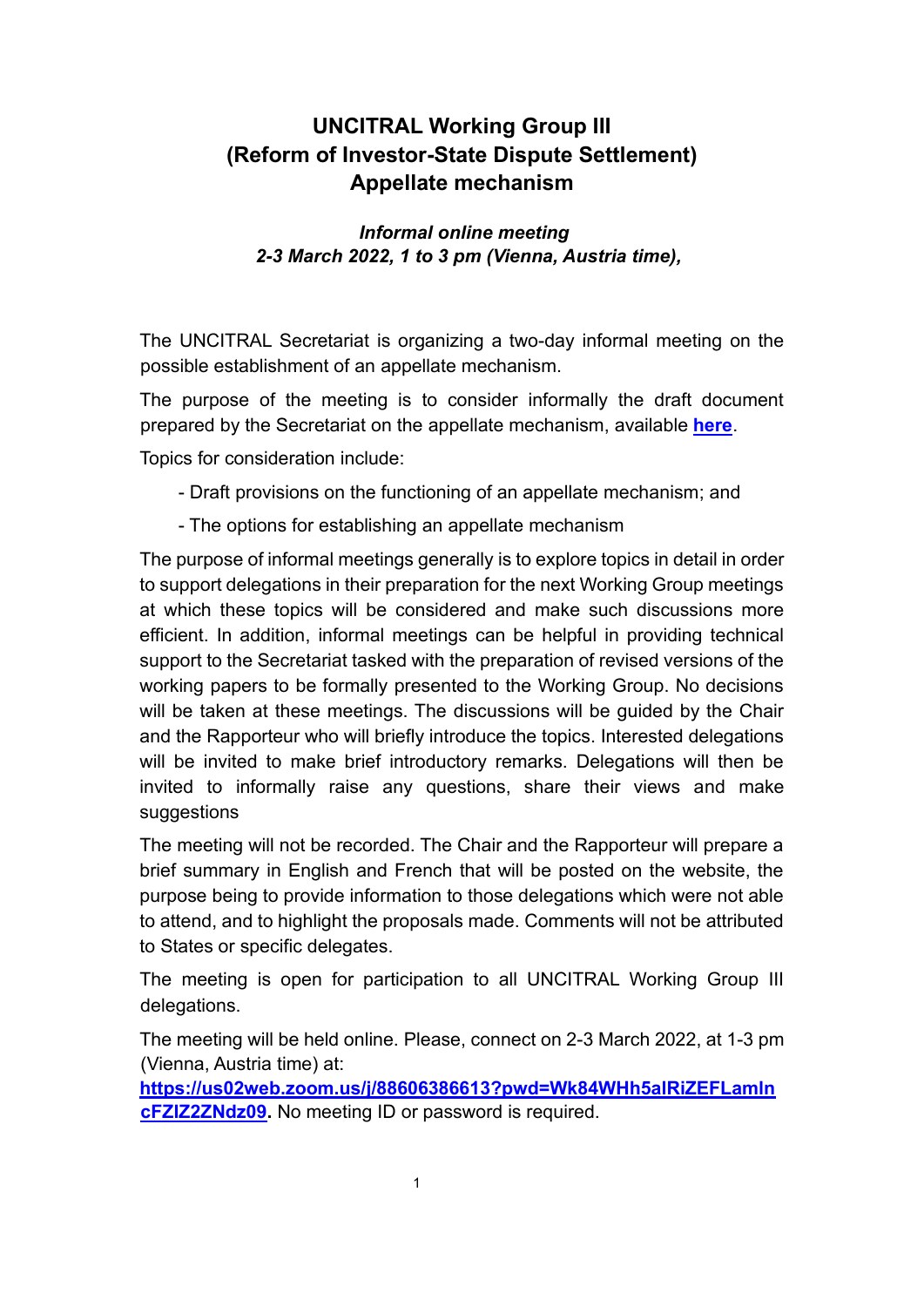# **UNCITRAL Working Group III (Reform of Investor-State Dispute Settlement) Appellate mechanism**

*Informal online meeting 2-3 March 2022, 1 to 3 pm (Vienna, Austria time),* 

The UNCITRAL Secretariat is organizing a two-day informal meeting on the possible establishment of an appellate mechanism.

The purpose of the meeting is to consider informally the draft document prepared by the Secretariat on the appellate mechanism, available **[here](https://uncitral.un.org/sites/uncitral.un.org/files/media-documents/uncitral/en/uncitral_wp_-_appeal_14_december_.pdf)**.

Topics for consideration include:

- Draft provisions on the functioning of an appellate mechanism; and
- The options for establishing an appellate mechanism

The purpose of informal meetings generally is to explore topics in detail in order to support delegations in their preparation for the next Working Group meetings at which these topics will be considered and make such discussions more efficient. In addition, informal meetings can be helpful in providing technical support to the Secretariat tasked with the preparation of revised versions of the working papers to be formally presented to the Working Group. No decisions will be taken at these meetings. The discussions will be guided by the Chair and the Rapporteur who will briefly introduce the topics. Interested delegations will be invited to make brief introductory remarks. Delegations will then be invited to informally raise any questions, share their views and make suggestions

The meeting will not be recorded. The Chair and the Rapporteur will prepare a brief summary in English and French that will be posted on the website, the purpose being to provide information to those delegations which were not able to attend, and to highlight the proposals made. Comments will not be attributed to States or specific delegates.

The meeting is open for participation to all UNCITRAL Working Group III delegations.

The meeting will be held online. Please, connect on 2-3 March 2022, at 1-3 pm (Vienna, Austria time) at:

**[https://us02web.zoom.us/j/88606386613?pwd=Wk84WHh5alRiZEFLamln](https://us02web.zoom.us/j/88606386613?pwd=Wk84WHh5alRiZEFLamlncFZIZ2ZNdz09) [cFZIZ2ZNdz09](https://us02web.zoom.us/j/88606386613?pwd=Wk84WHh5alRiZEFLamlncFZIZ2ZNdz09)[.](http://bit.ly/webinar-advisory-2)** No meeting ID or password is required.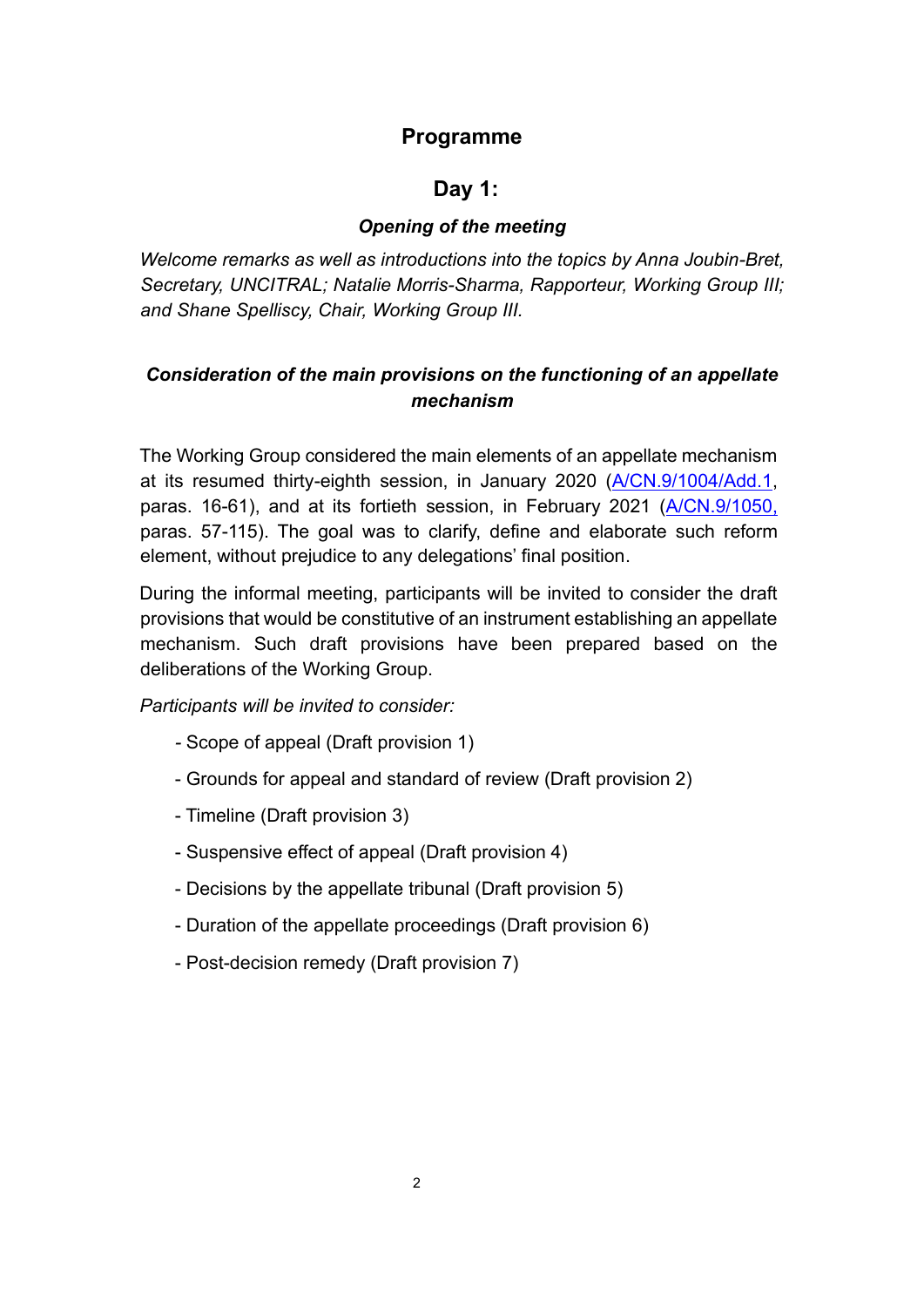## **Programme**

## **Day 1:**

#### *Opening of the meeting*

*Welcome remarks as well as introductions into the topics by Anna Joubin-Bret, Secretary, UNCITRAL; Natalie Morris-Sharma, Rapporteur, Working Group III; and Shane Spelliscy, Chair, Working Group III.*

### *Consideration of the main provisions on the functioning of an appellate mechanism*

The Working Group considered the main elements of an appellate mechanism at its resumed thirty-eighth session, in January 2020 (**A/CN.9/1004/Add.1**, paras. 16-61), and at its fortieth session, in February 2021 [\(A/CN.9/1050,](https://undocs.org/en/A/CN.9/1050) paras. 57-115). The goal was to clarify, define and elaborate such reform element, without prejudice to any delegations' final position.

During the informal meeting, participants will be invited to consider the draft provisions that would be constitutive of an instrument establishing an appellate mechanism. Such draft provisions have been prepared based on the deliberations of the Working Group.

*Participants will be invited to consider:*

- *-* Scope of appeal (Draft provision 1)
- Grounds for appeal and standard of review (Draft provision 2)
- Timeline (Draft provision 3)
- Suspensive effect of appeal (Draft provision 4)
- Decisions by the appellate tribunal (Draft provision 5)
- Duration of the appellate proceedings (Draft provision 6)
- Post-decision remedy (Draft provision 7)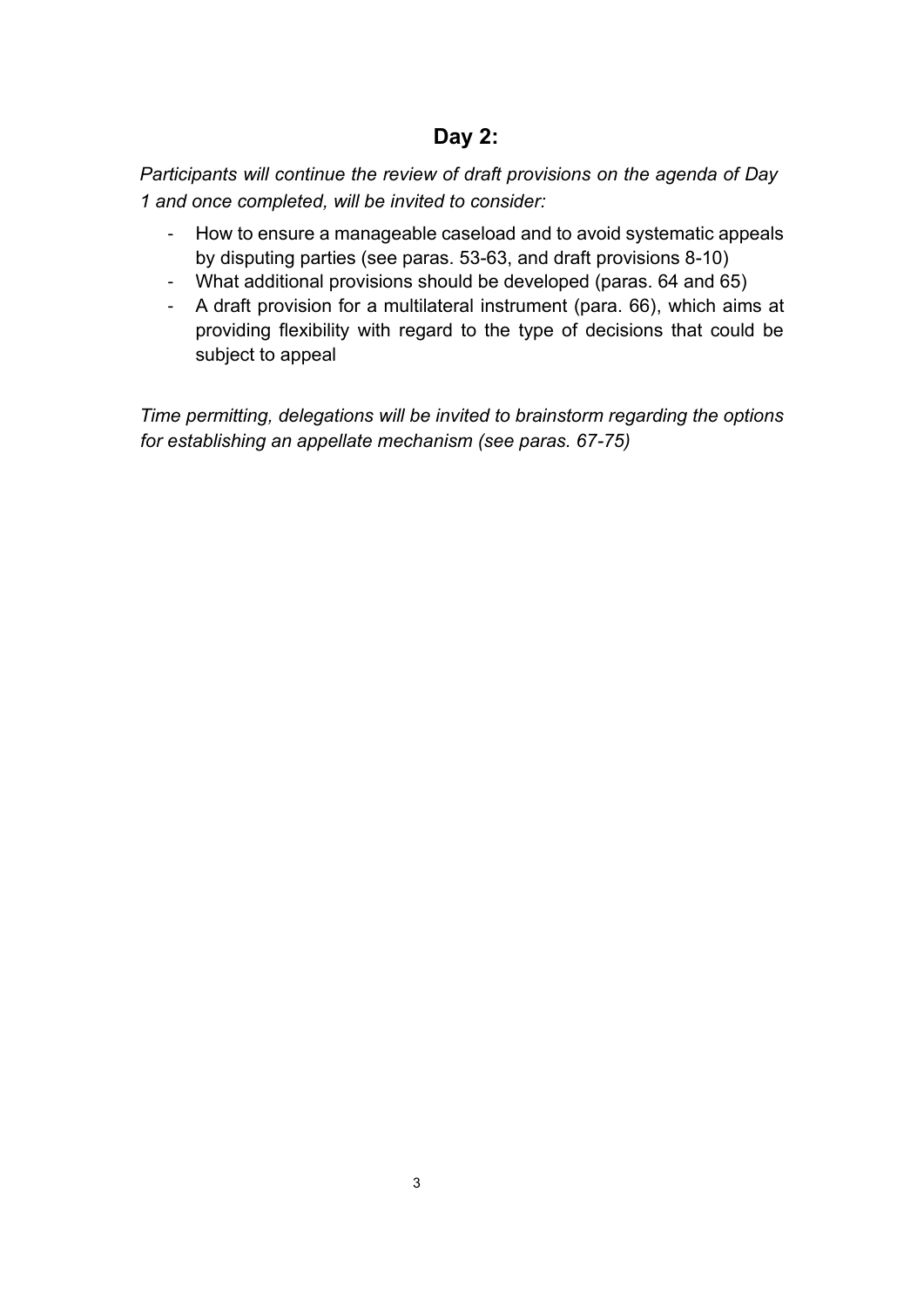## **Day 2:**

*Participants will continue the review of draft provisions on the agenda of Day 1 and once completed, will be invited to consider:*

- How to ensure a manageable caseload and to avoid systematic appeals by disputing parties (see paras. 53-63, and draft provisions 8-10)
- What additional provisions should be developed (paras. 64 and 65)
- A draft provision for a multilateral instrument (para. 66), which aims at providing flexibility with regard to the type of decisions that could be subject to appeal

*Time permitting, delegations will be invited to brainstorm regarding the options for establishing an appellate mechanism (see paras. 67-75)*